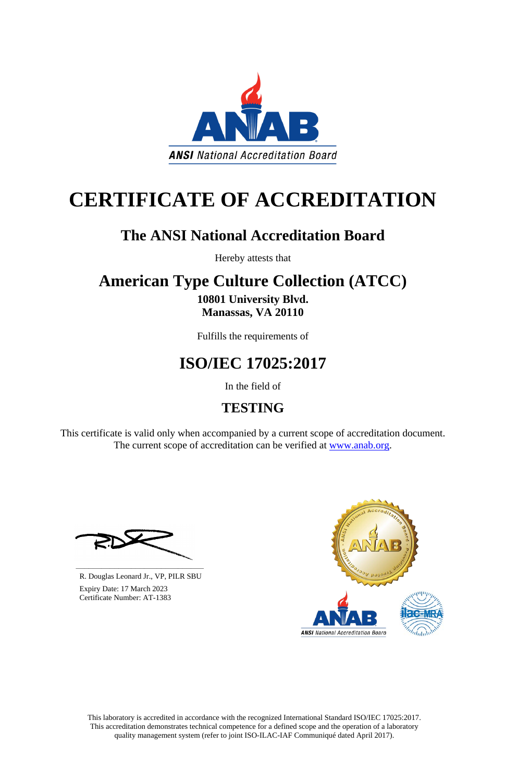This laboratory is accredited in accordance with the recognized International Standard ISO/IEC 17025:2017. This accreditation demonstrates technical competence for a defined scope and the operation of a laboratory quality management system (refer to joint ISO-ILAC-IAF Communiqué dated April 2017).

This certificate is valid only when accompanied by a current scope of accreditation document. The current scope of accreditation can be verified at [www.anab.org.](http://www.anab.org/)



# **CERTIFICATE OF ACCREDITATION**

# **The ANSI National Accreditation Board**

Hereby attests that

### **American Type Culture Collection (ATCC) 10801 University Blvd. Manassas, VA 20110**

Fulfills the requirements of

# **ISO/IEC 17025:2017**

In the field of

# **TESTING**





R. Douglas Leonard Jr., VP, PILR SBU

 Expiry Date: 17 March 2023 Certificate Number: AT-1383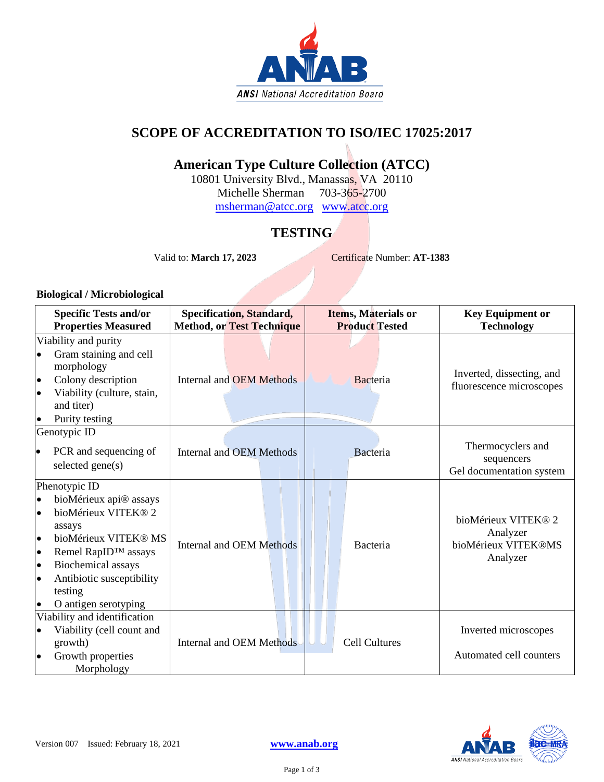

### **SCOPE OF ACCREDITATION TO ISO/IEC 17025:2017**

### **American Type Culture Collection (ATCC)**

10801 University Blvd., Manassas, VA 20110 Michelle Sherman 703-365-2700

[msherman@atcc.org](mailto:msherman@atcc.org) [www.atcc.org](http://www.atcc.org/)

### **TESTING**

Valid to: **March 17, 2023** Certificate Number: **AT-1383**

#### **Biological / Microbiological**

|                                                                                         | <b>Specific Tests and/or</b><br><b>Properties Measured</b>                                                                                                                                                           | <b>Specification, Standard,</b><br><b>Method, or Test Technique</b> | Items, Materials or<br><b>Product Tested</b> | <b>Key Equipment or</b><br><b>Technology</b>                       |
|-----------------------------------------------------------------------------------------|----------------------------------------------------------------------------------------------------------------------------------------------------------------------------------------------------------------------|---------------------------------------------------------------------|----------------------------------------------|--------------------------------------------------------------------|
| $\bullet$<br>$\bullet$<br>$\bullet$<br>$\bullet$                                        | Viability and purity<br>Gram staining and cell<br>morphology<br>Colony description<br>Viability (culture, stain,<br>and titer)<br>Purity testing                                                                     | <b>Internal and OEM Methods</b>                                     | Bacteria                                     | Inverted, dissecting, and<br>fluorescence microscopes              |
| $\bullet$                                                                               | Genotypic ID<br>PCR and sequencing of<br>selected gene(s)                                                                                                                                                            | Internal and OEM Methods                                            | Bacteria                                     | Thermocyclers and<br>sequencers<br>Gel documentation system        |
| $\bullet$<br>$\bullet$<br>$\bullet$<br>$\bullet$<br>$\bullet$<br>$\bullet$<br>$\bullet$ | Phenotypic ID<br>bioMérieux api® assays<br>bioMérieux VITEK® 2<br>assays<br>bioMérieux VITEK® MS<br>Remel RapID™ assays<br><b>Biochemical</b> assays<br>Antibiotic susceptibility<br>testing<br>O antigen serotyping | <b>Internal and OEM Methods</b>                                     | Bacteria                                     | bioMérieux VITEK® 2<br>Analyzer<br>bioMérieux VITEK®MS<br>Analyzer |
| $\bullet$<br>$\bullet$                                                                  | Viability and identification<br>Viability (cell count and<br>growth)<br>Growth properties<br>Morphology                                                                                                              | <b>Internal and OEM Methods</b>                                     | <b>Cell Cultures</b>                         | Inverted microscopes<br>Automated cell counters                    |

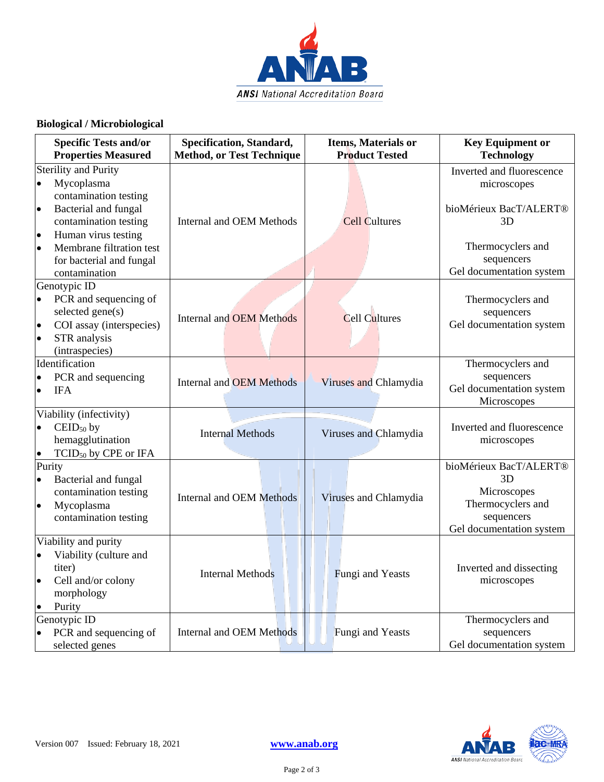

#### **Biological / Microbiological**

| <b>Specific Tests and/or</b><br><b>Properties Measured</b>                                                                                                                                                                                                              | Specification, Standard,<br><b>Method, or Test Technique</b> | Items, Materials or<br><b>Product Tested</b> | <b>Key Equipment or</b><br><b>Technology</b>                                                                                            |
|-------------------------------------------------------------------------------------------------------------------------------------------------------------------------------------------------------------------------------------------------------------------------|--------------------------------------------------------------|----------------------------------------------|-----------------------------------------------------------------------------------------------------------------------------------------|
| <b>Sterility and Purity</b><br>Mycoplasma<br>$\bullet$<br>contamination testing<br>Bacterial and fungal<br>$\bullet$<br>contamination testing<br>Human virus testing<br>$\bullet$<br>Membrane filtration test<br>$\bullet$<br>for bacterial and fungal<br>contamination | <b>Internal and OEM Methods</b>                              | <b>Cell Cultures</b>                         | Inverted and fluorescence<br>microscopes<br>bioMérieux BacT/ALERT®<br>3D<br>Thermocyclers and<br>sequencers<br>Gel documentation system |
| Genotypic ID<br>PCR and sequencing of<br>$\bullet$<br>selected gene(s)<br>COI assay (interspecies)<br>$\bullet$<br>STR analysis<br>$\bullet$<br>(intraspecies)                                                                                                          | <b>Internal and OEM Methods</b>                              | Cell Cultures                                | Thermocyclers and<br>sequencers<br>Gel documentation system                                                                             |
| Identification<br>PCR and sequencing<br>$\bullet$<br><b>IFA</b><br>$\bullet$                                                                                                                                                                                            | <b>Internal and OEM Methods</b>                              | Viruses and Chlamydia                        | Thermocyclers and<br>sequencers<br>Gel documentation system<br>Microscopes                                                              |
| Viability (infectivity)<br>$\mathrm{CEID}_{50}$ by<br>$\bullet$<br>hemagglutination<br>TCID <sub>50</sub> by CPE or IFA<br>$\bullet$                                                                                                                                    | <b>Internal Methods</b>                                      | Viruses and Chlamydia                        | Inverted and fluorescence<br>microscopes                                                                                                |
| Purity<br>Bacterial and fungal<br>$\bullet$<br>contamination testing<br>Mycoplasma<br>$\bullet$<br>contamination testing                                                                                                                                                | <b>Internal and OEM Methods</b>                              | Viruses and Chlamydia                        | bioMérieux BacT/ALERT®<br>3D<br>Microscopes<br>Thermocyclers and<br>sequencers<br>Gel documentation system                              |
| Viability and purity<br>Viability (culture and<br>$\bullet$<br>titer)<br>Cell and/or colony<br>$\bullet$<br>morphology<br>Purity<br>$\bullet$                                                                                                                           | <b>Internal Methods</b>                                      | Fungi and Yeasts                             | Inverted and dissecting<br>microscopes                                                                                                  |
| Genotypic ID<br>PCR and sequencing of<br>selected genes                                                                                                                                                                                                                 | <b>Internal and OEM Methods</b>                              | Fungi and Yeasts                             | Thermocyclers and<br>sequencers<br>Gel documentation system                                                                             |